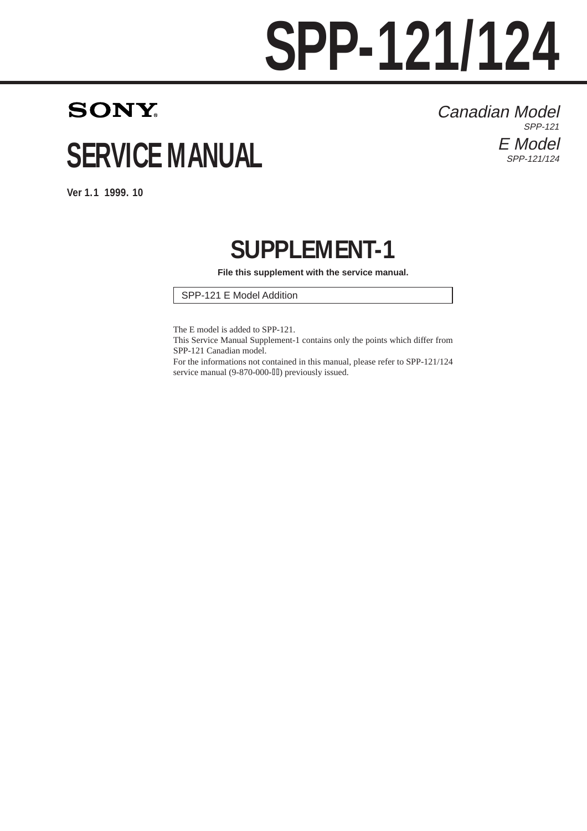# **SPP-121/124**

## **SONY SERVICE MANUAL**

Canadian Model SPP-121 E Model SPP-121/124

**Ver 1.1 1999. 10**

### **SUPPLEMENT-1**

**File this supplement with the service manual.**

SPP-121 E Model Addition

The E model is added to SPP-121.

This Service Manual Supplement-1 contains only the points which differ from SPP-121 Canadian model.

For the informations not contained in this manual, please refer to SPP-121/124 service manual (9-870-000-III) previously issued.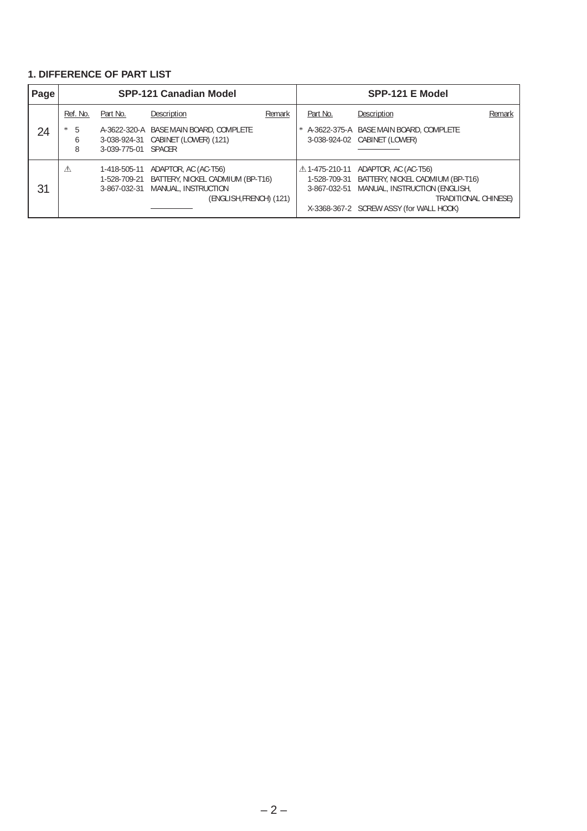#### **1. DIFFERENCE OF PART LIST**

| Page |                  |                              | <b>SPP-121 Canadian Model</b>                                                                                          | SPP-121 E Model |              |                                                                                                                                                                                                |        |  |  |  |
|------|------------------|------------------------------|------------------------------------------------------------------------------------------------------------------------|-----------------|--------------|------------------------------------------------------------------------------------------------------------------------------------------------------------------------------------------------|--------|--|--|--|
|      | Ref. No.         | Part No.                     | Description                                                                                                            | Remark          | Part No.     | Description                                                                                                                                                                                    | Remark |  |  |  |
| 24   | 5<br>*<br>b<br>8 | 3-039-775-01 SPACER          | A-3622-320-A BASE MAIN BOARD, COMPLETE<br>3-038-924-31 CABINET (LOWER) (121)                                           |                 | *            | A-3622-375-A BASE MAIN BOARD, COMPLETE<br>3-038-924-02 CABINET (LOWER)                                                                                                                         |        |  |  |  |
| 31   | ⚠                | 1-418-505-11<br>3-867-032-31 | ADAPTOR, AC (AC-T56)<br>1-528-709-21 BATTERY, NICKEL CADMIUM (BP-T16)<br>MANUAL, INSTRUCTION<br>(ENGLISH,FRENCH) (121) |                 | 3-867-032-51 | △1-475-210-11 ADAPTOR, AC (AC-T56)<br>1-528-709-31 BATTERY, NICKEL CADMIUM (BP-T16)<br>MANUAL, INSTRUCTION (ENGLISH,<br><b>TRADITIONAL CHINESE)</b><br>X-3368-367-2 SCREW ASSY (for WALL HOOK) |        |  |  |  |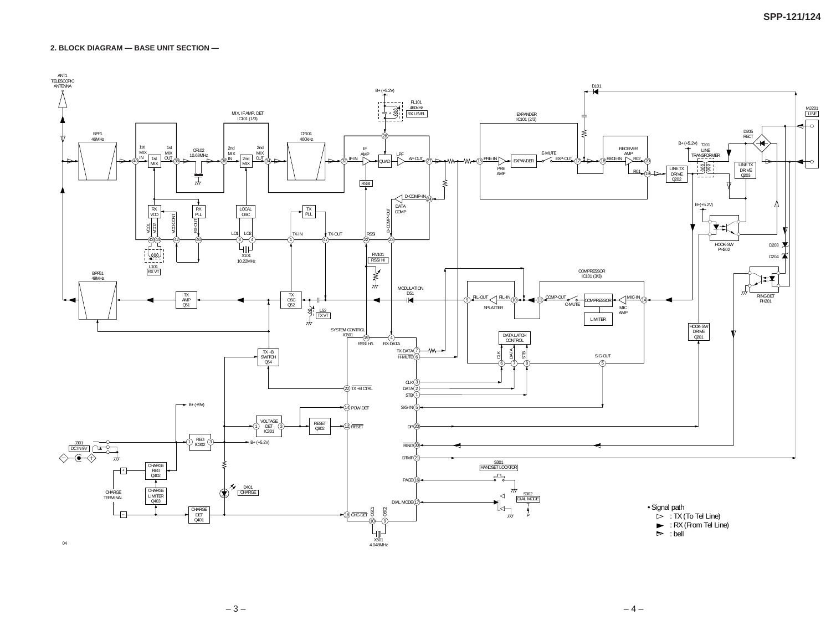**2. BLOCK DIAGRAM — BASE UNIT SECTION —**



 $-3-$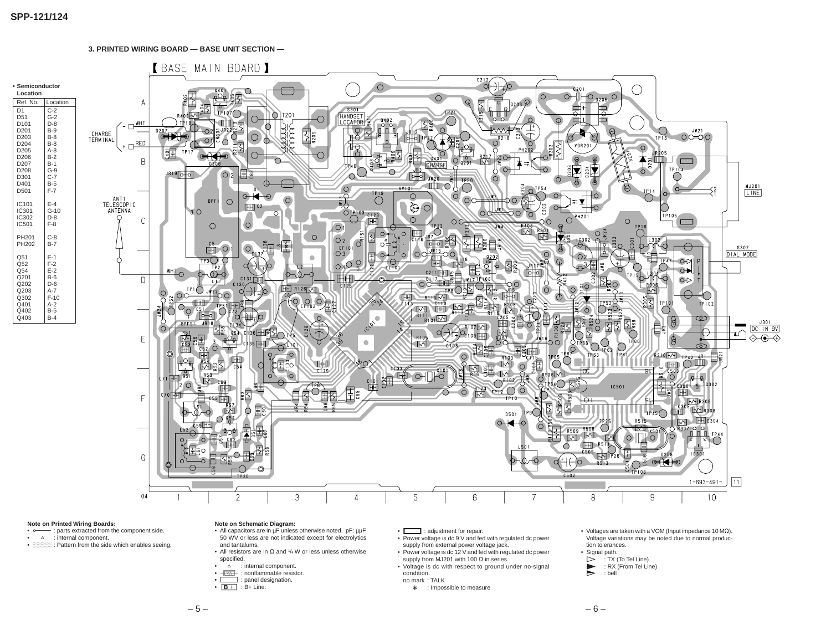

#### **Note on Printed Wiring Boards:**

- -: parts extracted from the component side.
- $\Delta$  : internal component.
- **bullet B:** Pattern from the side which enables seeing.

#### **Note on Schematic Diagram:**

- All capacitors are in µF unless otherwise noted. pF: µµF
- 50 WV or less are not indicated except for electrolytics
- and tantalums.
- All resistors are in  $\Omega$  and  $1/4$  W or less unless otherwise specified.
- $\Delta$  : internal component.
- **FWF** : nonflammable resistor.
- : panel designation.
- $B +$  : B+ Line.
- 
- 
- 
- 
- **Here** : adjustment for repair.
- Power voltage is dc 9 V and fed with regulated dc power supply from external power voltage jack.
- Power voltage is dc 12 V and fed with regulated dc power supply from MJ201 with 100  $\Omega$  in series.
- Voltage is dc with respect to ground under no-signal condition.
- no mark : TALK
	- ∗ : Impossible to measure
- Voltages are taken with a VOM (Input impedance 10 M $\Omega$ ). Voltage variations may be noted due to normal production tolerances.
- Signal path.
- $\triangleright$  : TX (To Tel Line)
- $\sum$  : RX (From Tel Line)<br>bell
- P : bell

- 
-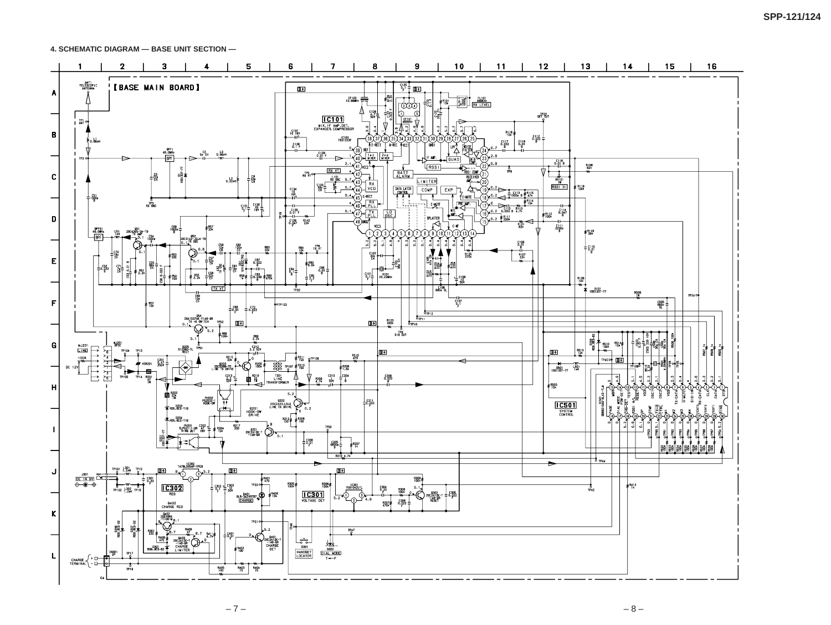**4. SCHEMATIC DIAGRAM — BASE UNIT SECTION —**



– 7 – – 8 –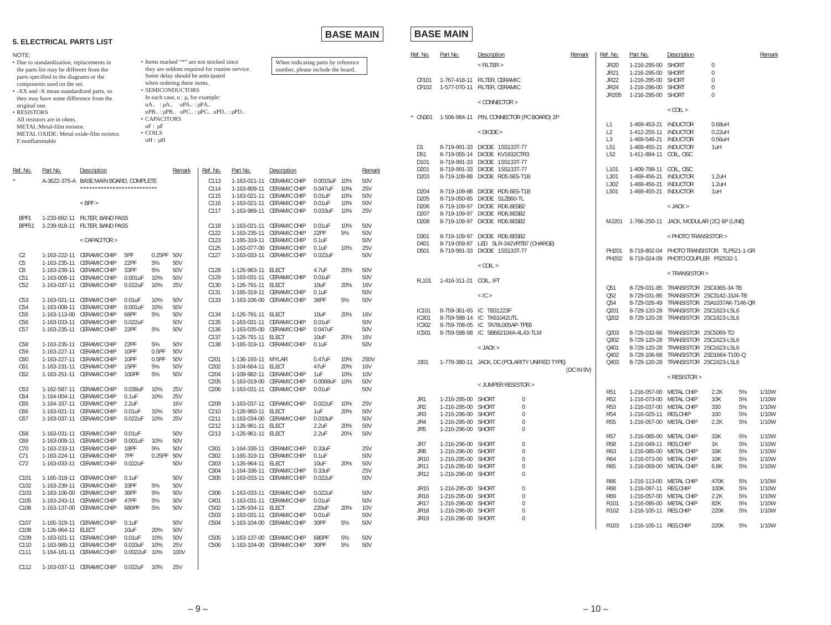#### **5. ELECTRICAL PARTS LIST**

**BASE MAIN**

#### **BASE MAIN**

| NOTE:                                                                               |                                                                       |                                                              |                                                                                           |               |                                                    |                                                                         |                    |                                                        |               |     |                | Ref. No.              | Part No.                                 | Description                                                    | Remark     | Ref. No.                           | Part No.                                          | Description                               |                |          | Remark         |
|-------------------------------------------------------------------------------------|-----------------------------------------------------------------------|--------------------------------------------------------------|-------------------------------------------------------------------------------------------|---------------|----------------------------------------------------|-------------------------------------------------------------------------|--------------------|--------------------------------------------------------|---------------|-----|----------------|-----------------------|------------------------------------------|----------------------------------------------------------------|------------|------------------------------------|---------------------------------------------------|-------------------------------------------|----------------|----------|----------------|
| Due to standardization, replacements in<br>the parts list may be different from the |                                                                       |                                                              | • Items marked "*" are not stocked since<br>they are seldom required for routine service. |               |                                                    | When indicating parts by reference<br>number, please include the board. |                    |                                                        |               |     | $<$ FILTER $>$ |                       | <b>JR20</b>                              | 1-216-295-00 SHORT                                             |            | $\mathbf 0$                        |                                                   |                                           |                |          |                |
|                                                                                     |                                                                       |                                                              |                                                                                           |               | Some delay should be anticipated                   |                                                                         |                    |                                                        |               |     |                |                       |                                          |                                                                |            | <b>JR21</b>                        | 1-216-295-00 SHORT                                |                                           | $\Omega$       |          |                |
|                                                                                     | parts specified in the diagrams or the<br>components used on the set. |                                                              |                                                                                           |               | when ordering these items.                         |                                                                         |                    |                                                        |               |     |                | CF101                 |                                          | 1-767-418-11 FILTER, CERAMIC                                   |            | <b>JR22</b>                        | 1-216-295-00 SHORT                                |                                           | $\Omega$       |          |                |
|                                                                                     | -XX and -X mean standardized parts, so                                |                                                              |                                                                                           |               | · SEMICONDUCTORS                                   |                                                                         |                    |                                                        |               |     |                | CF102                 |                                          | 1-577-070-11 FILTER, CERAMIC                                   |            | <b>JR24</b>                        | 1-216-296-00 SHORT                                |                                           | $\overline{0}$ |          |                |
|                                                                                     | they may have some difference from the                                |                                                              |                                                                                           |               | In each case, $u : \mu$ , for example:             |                                                                         |                    |                                                        |               |     |                |                       |                                          |                                                                |            | JR205                              | 1-216-295-00 SHORT                                |                                           | $\Omega$       |          |                |
| original one.                                                                       |                                                                       |                                                              |                                                                                           |               | $uA$ : $\mu A$ $uPA$ : $\mu PA$                    |                                                                         |                    |                                                        |               |     |                |                       |                                          | $<$ CONNECTOR $>$                                              |            |                                    |                                                   |                                           |                |          |                |
| <b>RESISTORS</b>                                                                    |                                                                       |                                                              |                                                                                           |               | $uPB$ : $\mu PB$ $uPC$ : $\mu PC$ $uPD$ : $\mu PD$ |                                                                         |                    |                                                        |               |     |                |                       |                                          |                                                                |            |                                    |                                                   | $<$ COIL $>$                              |                |          |                |
|                                                                                     | All resistors are in ohms.                                            |                                                              |                                                                                           | • CAPACITORS  |                                                    |                                                                         |                    |                                                        |               |     |                | * CN301               |                                          | 1-506-984-11 PIN, CONNECTOR (PC BOARD) 2P                      |            |                                    |                                                   |                                           |                |          |                |
|                                                                                     | METAL: Metal-film resistor.                                           |                                                              |                                                                                           | $uF: \mu F$   |                                                    |                                                                         |                    |                                                        |               |     |                |                       |                                          |                                                                |            | $\lfloor 1 \rfloor$                | 1-469-453-21 INDUCTOR                             |                                           | $0.68$ uH      |          |                |
|                                                                                     |                                                                       | METAL OXIDE: Metal oxide-film resistor.                      |                                                                                           | $\cdot$ COILS |                                                    |                                                                         |                    |                                                        |               |     |                |                       |                                          | $<$ DIODE $>$                                                  |            | L2                                 | 1-412-255-11 INDUCTOR                             |                                           | $0.22$ uH      |          |                |
| F:nonflammable                                                                      |                                                                       |                                                              |                                                                                           | $uH: \mu H$   |                                                    |                                                                         |                    |                                                        |               |     |                |                       |                                          |                                                                |            | L <sub>3</sub>                     | 1-469-546-21 INDUCTOR                             |                                           | $0.56$ uH      |          |                |
|                                                                                     |                                                                       |                                                              |                                                                                           |               |                                                    |                                                                         |                    |                                                        |               |     |                | D1<br>D <sub>51</sub> |                                          | 8-719-991-33 DIODE 1SS133T-77<br>8-719-055-14 DIODE KV1832CTR3 |            | L <sub>51</sub><br>L <sub>52</sub> | 1-469-455-21 INDUCTOR<br>1-411-884-11 COIL, OSC   |                                           | 1uH            |          |                |
|                                                                                     |                                                                       |                                                              |                                                                                           |               |                                                    |                                                                         |                    |                                                        |               |     |                | D <sub>10</sub>       |                                          | 8-719-991-33 DIODE 1SS133T-77                                  |            |                                    |                                                   |                                           |                |          |                |
|                                                                                     |                                                                       |                                                              |                                                                                           |               |                                                    |                                                                         |                    |                                                        |               |     |                | D <sub>20</sub> 1     |                                          | 8-719-991-33 DIODE 1SS133T-77                                  |            | L <sub>101</sub>                   | 1-409-798-11 COIL, OSC                            |                                           |                |          |                |
| Ref. No.                                                                            | Part No.                                                              | Description                                                  |                                                                                           |               | Remark                                             | Ref. No.                                                                | Part No.           | Description                                            |               |     | Remark         | D <sub>203</sub>      |                                          | 8-719-109-88 DIODE RD5.6ES-T1B                                 |            | L301                               | 1-469-456-21 INDUCTOR                             |                                           | $1.2$ uH       |          |                |
|                                                                                     | A-3622-375-A                                                          | <b>BASE MAIN BOARD, COMPLETE</b>                             |                                                                                           |               |                                                    | C <sub>113</sub>                                                        |                    | 1-163-011-11 CERAMIC CHIP                              | 0.0015uF      | 10% | 50V            |                       |                                          |                                                                |            | L302                               | 1-469-456-21 INDUCTOR                             |                                           | $1.2$ uH       |          |                |
|                                                                                     |                                                                       | **************************                                   |                                                                                           |               |                                                    | C114                                                                    |                    | 1-163-809-11 CERAMIC CHIP                              | 0.047uF       | 10% | 25V            | D <sub>204</sub>      |                                          | 8-719-109-88 DIODE RD5.6ES-T1B                                 |            | L501                               | 1-469-455-21 INDUCTOR                             |                                           | 1uH            |          |                |
|                                                                                     |                                                                       |                                                              |                                                                                           |               |                                                    | C <sub>115</sub>                                                        |                    | 1-163-021-11 CERAMIC CHIP                              | 0.01uF        | 10% | 50V            | D205                  |                                          | 8-719-050-65 DIODE S1ZB60-TL                                   |            |                                    |                                                   |                                           |                |          |                |
|                                                                                     |                                                                       | $<$ BPF $>$                                                  |                                                                                           |               |                                                    | C <sub>116</sub>                                                        |                    | 1-163-021-11 CERAMIC CHIP                              | 0.01uF        | 10% | 50V            | D <sub>206</sub>      |                                          | 8-719-109-97 DIODE RD6.8ESB2                                   |            |                                    |                                                   | $<$ JACK $>$                              |                |          |                |
|                                                                                     |                                                                       |                                                              |                                                                                           |               |                                                    | C117                                                                    |                    | 1-163-989-11 CERAMIC CHIP                              | 0.033uF       | 10% | 25V            | D <sub>20</sub>       |                                          | 8-719-109-97 DIODE RD6.8ESB2                                   |            |                                    |                                                   |                                           |                |          |                |
| BPF1                                                                                |                                                                       | 1-233-692-11 FILTER, BAND PASS                               |                                                                                           |               |                                                    |                                                                         |                    |                                                        |               |     |                | D208                  |                                          | 8-719-109-97 DIODE RD6.8ESB2                                   |            | MJ201                              | 1-766-250-11 JACK, MODULAR (2C) 6P (LINE)         |                                           |                |          |                |
| BPF51                                                                               |                                                                       | 1-239-918-11 FILTER, BAND PASS                               |                                                                                           |               |                                                    | C118                                                                    |                    | 1-163-021-11 CERAMIC CHIP                              | 0.01uF        | 10% | 50V            |                       |                                          |                                                                |            |                                    |                                                   |                                           |                |          |                |
|                                                                                     |                                                                       | < CAPACITOR >                                                |                                                                                           |               |                                                    | C <sub>122</sub><br>C <sub>123</sub>                                    |                    | 1-163-235-11 CERAMIC CHIP<br>1-165-319-11 CERAMIC CHIP | 22PF<br>0.1uF | 5%  | 50V<br>50V     | D301                  |                                          | 8-719-109-97 DIODE RD6.8ESB2                                   |            |                                    |                                                   | < PHOTO TRANSISTOR >                      |                |          |                |
|                                                                                     |                                                                       |                                                              |                                                                                           |               |                                                    | C <sub>125</sub>                                                        |                    | 1-163-077-00 CERAMIC CHIP                              | 0.1uF         | 10% | 25V            | D401                  |                                          | 8-719-059-87 LED SLR-342VRTB7 (CHARGE)                         |            |                                    |                                                   |                                           |                |          |                |
| C2                                                                                  |                                                                       | 1-163-222-11 CERAMIC CHIP                                    | 5PF                                                                                       | 0.25PF 50V    |                                                    | C <sub>127</sub>                                                        |                    | 1-163-033-11 CERAMIC CHIP                              | 0.022uF       |     | 50V            | D <sub>50</sub>       |                                          | 8-719-991-33 DIODE 1SS133T-77                                  |            | <b>PH20</b>                        |                                                   | 8-719-802-04 PHOTO TRANSISTOR TLP521-1-GR |                |          |                |
| C5                                                                                  |                                                                       | 1-163-235-11 CERAMIC CHIP                                    | 22PF                                                                                      | 5%            | 50V                                                |                                                                         |                    |                                                        |               |     |                |                       |                                          |                                                                |            | PH202                              | 8-719-024-09 PHOTO COUPLER PS2532-1               |                                           |                |          |                |
| C8                                                                                  |                                                                       | 1-163-239-11 CERAMIC CHIP                                    | 33PF                                                                                      | 5%            | 50V                                                | C <sub>128</sub>                                                        | 1-126-963-11 ELECT |                                                        | 4.7uF         | 20% | 50V            |                       |                                          | $<$ COIL $>$                                                   |            |                                    |                                                   |                                           |                |          |                |
| C51                                                                                 |                                                                       | 1-163-009-11 CERAMIC CHIP                                    | 0.001uF                                                                                   | 10%           | 50V                                                | C129                                                                    |                    | 1-163-031-11 CERAMIC CHIP                              | 0.01uF        |     | 50V            |                       |                                          |                                                                |            |                                    |                                                   | <transistor></transistor>                 |                |          |                |
| C52                                                                                 |                                                                       | 1-163-037-11 CERAMIC CHIP                                    | 0.022uF                                                                                   | 10%           | 25V                                                | C <sub>130</sub>                                                        | 1-126-791-11 ELECT |                                                        | 10uF          | 20% | <b>16V</b>     | FL101                 | 1-416-311-21 COIL, IFT                   |                                                                |            | Q51                                |                                                   | 8-729-031-85 TRANSISTOR 2SC4365-34-TB     |                |          |                |
|                                                                                     |                                                                       |                                                              |                                                                                           |               |                                                    | C <sub>131</sub>                                                        |                    | 1-165-319-11 CERAMIC CHIP                              | 0.1uF         |     | 50V            |                       |                                          | $<$ IC $>$                                                     |            | Q <sub>52</sub>                    |                                                   | 8-729-031-86 TRANSISTOR 2SC3142-J3J4-TB   |                |          |                |
| C53                                                                                 |                                                                       | 1-163-021-11 CERAMIC CHIP                                    | $0.01$ uF                                                                                 | 10%           | 50V                                                | C <sub>133</sub>                                                        |                    | 1-163-106-00 CERAMIC CHIP                              | 36PF          | 5%  | 50V            |                       |                                          |                                                                |            | Q54                                | 8-729-026-49 TRANSISTOR 2SA1037AK-T146-QR         |                                           |                |          |                |
| C54                                                                                 |                                                                       | 1-163-009-11 CERAMIC CHIP                                    | 0.001uF                                                                                   | 10%           | 50V                                                |                                                                         |                    |                                                        |               |     |                | <b>IC101</b>          |                                          | 8-759-361-65 IC TB31223F                                       |            | Q201                               | 8-729-120-28 TRANSISTOR 2SC1623-L5L6              |                                           |                |          |                |
| C55                                                                                 |                                                                       | 1-163-113-00 CERAMIC CHIP                                    | 68PF                                                                                      | 5%            | 50V                                                | C <sub>134</sub>                                                        | 1-126-791-11 ELECT |                                                        | 10uF          | 20% | <b>16V</b>     | <b>IC301</b>          |                                          | 8-759-598-14 IC TK61042UTL                                     |            | Q202                               | 8-729-120-28 TRANSISTOR 2SC1623-L5L6              |                                           |                |          |                |
| C <sub>56</sub>                                                                     |                                                                       | 1-163-033-11 CERAMIC CHIP                                    | 0.022uF                                                                                   |               | 50V                                                | C135                                                                    |                    | 1-163-031-11 CERAMIC CHIP                              | 0.01uF        |     | 50V            | IC302                 |                                          | 8-759-708-05 IC TA78L005AP-TPE6                                |            |                                    |                                                   |                                           |                |          |                |
| C57                                                                                 |                                                                       | 1-163-235-11 CERAMIC CHIP                                    | 22PF                                                                                      | 5%            | 50V                                                | C136                                                                    |                    | 1-163-035-00 CERAMIC CHIP                              | 0.047uF       |     | 50V            | IC501                 |                                          | 8-759-598-98 IC SB662104A-4L43-TLM                             |            | Q203                               | 8-729-032-66 TRANSISTOR 2SC5069-TD                |                                           |                |          |                |
|                                                                                     |                                                                       |                                                              |                                                                                           |               |                                                    | C137                                                                    | 1-126-791-11 ELECT |                                                        | 10uF          | 20% | <b>16V</b>     |                       |                                          |                                                                |            | Q302                               | 8-729-120-28 TRANSISTOR 2SC1623-L5L6              |                                           |                |          |                |
| C <sub>58</sub>                                                                     |                                                                       | 1-163-235-11 CERAMIC CHIP                                    | 22PF                                                                                      | 5%<br>0.5PF   | 50V<br>50V                                         | C138                                                                    |                    | 1-165-319-11 CERAMIC CHIP                              | $0.1$ u $F$   |     | 50V            |                       |                                          | $<$ JACK $>$                                                   |            | Q401                               | 8-729-120-28 TRANSISTOR 2SC1623-L5L6              |                                           |                |          |                |
| C59<br>C60                                                                          |                                                                       | 1-163-227-11 CERAMIC CHIP<br>1-163-227-11 CERAMIC CHIP       | 10PF<br>10PF                                                                              | 0.5PF         | 50V                                                | C <sub>201</sub>                                                        | 1-136-193-11 MYLAR |                                                        | 0.47uF        | 10% | 250V           |                       |                                          |                                                                |            | Q402                               | 8-729-106-68 TRANSISTOR 2SD1664-T100-Q            |                                           |                |          |                |
| C61                                                                                 |                                                                       | 1-163-231-11 CERAMIC CHIP                                    | 15PF                                                                                      | 5%            | 50V                                                | C <sub>202</sub>                                                        | 1-104-664-11 ELECT |                                                        | 47uF          | 20% | <b>16V</b>     | J301                  |                                          | 1-778-380-11 JACK, DC (POLARITY UNIFIED TYPE)                  |            | Q403                               | 8-729-120-28 TRANSISTOR 2SC1623-L5L6              |                                           |                |          |                |
| C62                                                                                 |                                                                       | 1-163-251-11 CERAMIC CHIP                                    | 100PF                                                                                     | 5%            | 50V                                                | C <sub>204</sub>                                                        |                    | 1-109-982-11 CERAMIC CHIP                              | 1uF           | 10% | <b>10V</b>     |                       |                                          |                                                                | (DC IN 9V) |                                    |                                                   |                                           |                |          |                |
|                                                                                     |                                                                       |                                                              |                                                                                           |               |                                                    | C205                                                                    |                    | 1-163-019-00 CERAMIC CHIP                              | 0.0068uF      | 10% | 50V            |                       |                                          |                                                                |            |                                    |                                                   | $<$ RESISTOR $>$                          |                |          |                |
| C63                                                                                 |                                                                       | 1-162-587-11 CERAMIC CHIP 0.039uF                            |                                                                                           | 10%           | 25V                                                | C206                                                                    |                    |                                                        |               |     | 50V            |                       |                                          | < JUMPER RESISTOR >                                            |            |                                    |                                                   |                                           |                |          |                |
| C64                                                                                 |                                                                       | 1-164-004-11 CERAMIC CHIP 0.1uF                              |                                                                                           | 10%           | 25V                                                |                                                                         |                    |                                                        |               |     |                |                       |                                          |                                                                |            |                                    | 1-216-057-00 METAL CHIP                           |                                           | 2.2K           | 5%       | 1/10W          |
| C65                                                                                 |                                                                       | 1-164-337-11 CERAMIC CHIP 2.2uF                              |                                                                                           |               | 16V                                                | C209                                                                    |                    | 1-163-037-11 CERAMIC CHIP                              | 0.022uF       | 10% | 25V            | JR1                   | 1-216-295-00 SHORT                       | 0                                                              |            | R52                                | 1-216-073-00 METAL CHIP                           |                                           | 10K            | 5%       | 1/10W          |
| C66                                                                                 |                                                                       | 1-163-021-11 CERAMIC CHIP 0.01uF                             |                                                                                           | 10%           | 50V                                                | C210                                                                    | 1-126-960-11 ELECT |                                                        | 1uF           | 20% | 50V            | JR2<br>JR3            | 1-216-295-00 SHORT<br>1-216-296-00 SHORT | $\mathbf 0$<br>$\Omega$                                        |            | <b>R53</b><br><b>R54</b>           | 1-216-037-00 METAL CHIP<br>1-216-025-11 RES, CHIP |                                           | 330<br>100     | 5%<br>5% | 1/10W<br>1/10W |
| C67                                                                                 |                                                                       | 1-163-037-11 CERAMIC CHIP 0.022uF                            |                                                                                           | 10%           | 25V                                                | C <sub>211</sub>                                                        |                    | 1-163-034-00 CERAMIC CHIP                              | 0.033uF       |     | 50V            | JR4                   | 1-216-295-00 SHORT                       | $\mathbf 0$                                                    |            | R55                                | 1-216-057-00 METAL CHIP                           |                                           | 2.2K           | 5%       | 1/10W          |
|                                                                                     |                                                                       |                                                              |                                                                                           |               |                                                    | C212                                                                    | 1-126-961-11 ELECT |                                                        | 2.2uF         | 20% | 50V            | JR5                   | 1-216-296-00 SHORT                       | $\mathbf 0$                                                    |            |                                    |                                                   |                                           |                |          |                |
| C68                                                                                 |                                                                       | 1-163-031-11 CERAMIC CHIP 0.01uF                             |                                                                                           |               | 50V                                                | C213                                                                    | 1-126-961-11 ELECT |                                                        | 2.2uF         | 20% | 50V            |                       |                                          |                                                                |            | <b>R57</b>                         | 1-216-085-00 METAL CHIP                           |                                           | 33K            | 5%       | 1/10W          |
| C69                                                                                 |                                                                       | 1-163-009-11 CERAMIC CHIP 0.001uF                            |                                                                                           | 10%           | 50V                                                |                                                                         |                    |                                                        |               |     |                | JR7                   | 1-216-296-00 SHORT                       | 0                                                              |            | R58                                | 1-216-049-11 RES, CHIP                            |                                           | 1K             | 5%       | 1/10W          |
| C70                                                                                 |                                                                       | 1-163-233-11 CERAMIC CHIP                                    | 18PF                                                                                      | 5%            | 50V                                                | C301                                                                    |                    | 1-164-336-11 CERAMIC CHIP                              | 0.33uF        |     | 25V            | JR8                   | 1-216-296-00 SHORT                       | $\Omega$                                                       |            | R63                                | 1-216-085-00 METAL CHIP                           |                                           | 33K            | 5%       | 1/10W          |
| C71                                                                                 |                                                                       | 1-163-224-11 CERAMIC CHIP                                    | 7PF                                                                                       | 0.25PF 50V    |                                                    | C302                                                                    |                    | 1-165-319-11 CERAMIC CHIP 0.1uF                        |               |     | 50V            | JR10                  | 1-216-295-00 SHORT                       |                                                                |            | <b>R64</b>                         | 1-216-073-00 METAL CHIP                           |                                           | 10K            | 5%       | 1/10W          |
| C72                                                                                 |                                                                       | 1-163-033-11 CERAMIC CHIP 0.022uF                            |                                                                                           |               | 50V                                                | C303                                                                    | 1-126-964-11 ELECT |                                                        | 10uF          | 20% | 50V            | JR11                  | 1-216-295-00 SHORT                       | 0                                                              |            | R65                                | 1-216-069-00 METAL CHIP                           |                                           | 6.8K           | 5%       | 1/10W          |
|                                                                                     |                                                                       |                                                              |                                                                                           |               |                                                    | C304                                                                    |                    | 1-164-336-11 CERAMIC CHIP                              | 0.33uF        |     | 25V            | JR12                  | 1-216-296-00 SHORT                       | $\mathbf 0$                                                    |            |                                    |                                                   |                                           |                |          |                |
| C101                                                                                |                                                                       | 1-165-319-11 CERAMIC CHIP 0.1uF<br>1-163-239-11 CERAMIC CHIP | 33PF                                                                                      |               | 50V<br>50V                                         | C305                                                                    |                    | 1-163-033-11 CERAMIC CHIP                              | 0.022uF       |     | 50V            |                       |                                          |                                                                |            | R66                                | 1-216-113-00 METAL CHIP                           |                                           | 470K           | 5%       | 1/10W          |
| C102<br>C103                                                                        |                                                                       | 1-163-106-00 CERAMIC CHIP                                    | 36PF                                                                                      | 5%<br>5%      | 50V                                                | C306                                                                    |                    | 1-163-033-11 CERAMIC CHIP                              | 0.022uF       |     | 50V            | JR15                  | 1-216-295-00 SHORT                       | 0                                                              |            | R68                                | 1-216-097-11 RES, CHIP                            |                                           | 100K           | 5%       | 1/10W          |
| C105                                                                                |                                                                       | 1-163-243-11 CERAMIC CHIP                                    | 47PF                                                                                      | 5%            | 50V                                                | C401                                                                    |                    | 1-163-031-11 CERAMIC CHIP                              | 0.01uF        |     | 50V            | JR16                  | 1-216-295-00 SHORT                       | $\Omega$                                                       |            | R69                                | 1-216-057-00 METAL CHIP                           |                                           | 2.2K           | 5%       | 1/10W          |
| C106                                                                                |                                                                       | 1-163-137-00 CERAMIC CHIP 680PF                              |                                                                                           | 5%            | 50V                                                | C <sub>5</sub> 02                                                       | 1-126-934-11 ELECT |                                                        | 220uF         | 20% | 10V            | JR17                  | 1-216-296-00 SHORT                       |                                                                |            | R <sub>101</sub>                   | 1-216-095-00 METAL CHIP                           |                                           | 82K            | 5%       | 1/10W          |
|                                                                                     |                                                                       |                                                              |                                                                                           |               |                                                    | C503                                                                    |                    | 1-163-031-11 CERAMIC CHIP                              | 0.01uF        |     | 50V            | JR18                  | 1-216-296-00 SHORT                       | 0                                                              |            | R102                               | 1-216-105-11 RES, CHIP                            |                                           | 220K           | 5%       | 1/10W          |
| C107                                                                                |                                                                       | 1-165-319-11 CERAMIC CHIP 0.1uF                              |                                                                                           |               | 50V                                                | C504                                                                    |                    | 1-163-104-00 CERAMIC CHIP                              | 30PF          | 5%  | 50V            | JR19                  | 1-216-296-00 SHORT                       | $\Omega$                                                       |            |                                    |                                                   |                                           |                |          |                |
| C108                                                                                | 1-126-964-11 ELECT                                                    |                                                              | 10uF                                                                                      | 20%           | 50V                                                |                                                                         |                    |                                                        |               |     |                |                       |                                          |                                                                |            | R103                               | 1-216-105-11 RES, CHIP                            |                                           | 220K           | 5%       | 1/10W          |
| C109                                                                                |                                                                       | 1-163-021-11 CERAMIC CHIP                                    | 0.01uF                                                                                    | 10%           | 50V                                                | C505                                                                    |                    | 1-163-137-00 CERAMIC CHIP                              | 680PF         | 5%  | 50V            |                       |                                          |                                                                |            |                                    |                                                   |                                           |                |          |                |
| C110                                                                                |                                                                       | 1-163-989-11 CERAMIC CHIP 0.033uF                            |                                                                                           | 10%           | 25V                                                | C506                                                                    |                    | 1-163-104-00 CERAMIC CHIP 30PF                         |               | 5%  | 50V            |                       |                                          |                                                                |            |                                    |                                                   |                                           |                |          |                |
| C111                                                                                |                                                                       | 1-164-161-11 CERAMIC CHIP 0.0022uF 10%                       |                                                                                           |               | 100V                                               |                                                                         |                    |                                                        |               |     |                |                       |                                          |                                                                |            |                                    |                                                   |                                           |                |          |                |

C112 1-163-037-11 CERAMIC CHIP 0.022uF 10% 25V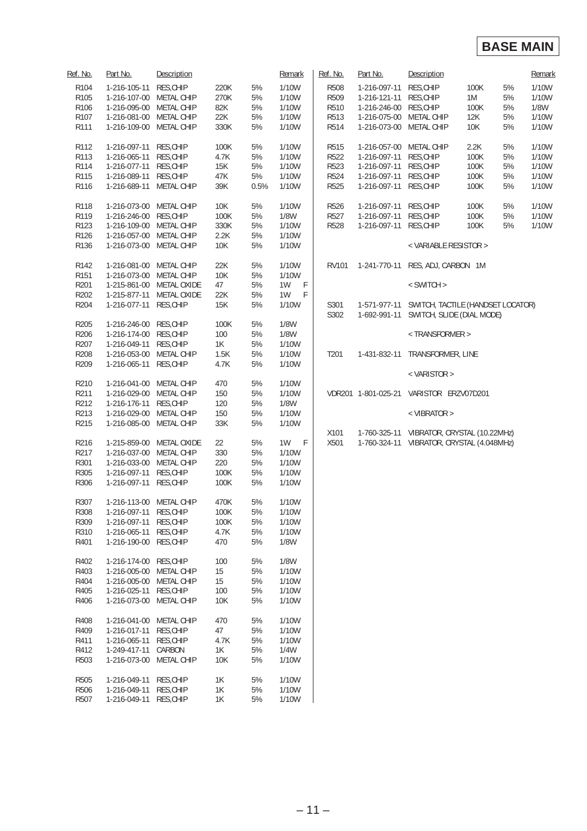#### **BASE MAIN**

| Ref. No.         | Part No.                | Description        |               |      | Remark       | Ref. No.         | Part No.                | Description                                                                 |      |    | Remark |
|------------------|-------------------------|--------------------|---------------|------|--------------|------------------|-------------------------|-----------------------------------------------------------------------------|------|----|--------|
| R <sub>104</sub> | 1-216-105-11            | RES, CHIP          | 220K          | 5%   | 1/10W        | <b>R508</b>      | 1-216-097-11            | RES, CHIP                                                                   | 100K | 5% | 1/10W  |
| R105             | 1-216-107-00            | METAL CHIP         | 270K          | 5%   | 1/10W        | R509             | 1-216-121-11            | RES, CHIP                                                                   | 1M   | 5% | 1/10W  |
| R106             | 1-216-095-00            | METAL CHIP         | 82K           | 5%   | 1/10W        | R510             | 1-216-246-00 RES, CHIP  |                                                                             | 100K | 5% | 1/8W   |
|                  |                         |                    |               | 5%   | 1/10W        | R513             |                         |                                                                             |      | 5% | 1/10W  |
| R <sub>107</sub> | 1-216-081-00            | METAL CHIP         | 22K           |      | 1/10W        |                  | 1-216-075-00 METAL CHIP |                                                                             | 12K  |    |        |
| R111             | 1-216-109-00            | METAL CHIP         | 330K          | 5%   |              | R514             | 1-216-073-00 METAL CHIP |                                                                             | 10K  | 5% | 1/10W  |
| R112             | 1-216-097-11            | RES, CHIP          | 100K          | 5%   | 1/10W        | R515             | 1-216-057-00            | METAL CHIP                                                                  | 2.2K | 5% | 1/10W  |
| R113             | 1-216-065-11            | RES, CHIP          | 4.7K          | 5%   | 1/10W        | R522             | 1-216-097-11            | RES, CHIP                                                                   | 100K | 5% | 1/10W  |
| R114             | 1-216-077-11            | RES, CHIP          | <b>15K</b>    | 5%   | 1/10W        | R523             | 1-216-097-11            | RES, CHIP                                                                   | 100K | 5% | 1/10W  |
| R115             | 1-216-089-11            | RES, CHIP          | 47K           | 5%   | 1/10W        | R524             | 1-216-097-11 RES, CHIP  |                                                                             | 100K | 5% | 1/10W  |
| R116             | 1-216-689-11            | METAL CHIP         | 39K           | 0.5% | 1/10W        | R525             | 1-216-097-11 RES, CHIP  |                                                                             | 100K | 5% | 1/10W  |
| R118             | 1-216-073-00            | METAL CHIP         | 10K           | 5%   | 1/10W        | R526             | 1-216-097-11 RES, CHIP  |                                                                             | 100K | 5% | 1/10W  |
| R119             | 1-216-246-00            | RES, CHIP          | 100K          | 5%   | <b>1/8W</b>  | R527             | 1-216-097-11            | RES, CHIP                                                                   | 100K | 5% | 1/10W  |
| R123             | 1-216-109-00            | METAL CHIP         | 330K          | 5%   | 1/10W        | R528             | 1-216-097-11            | RES, CHIP                                                                   | 100K | 5% | 1/10W  |
| R126             | 1-216-057-00            | METAL CHIP         | 2.2K          | 5%   | 1/10W        |                  |                         |                                                                             |      |    |        |
| R136             | 1-216-073-00            | METAL CHIP         | 10K           | 5%   | 1/10W        |                  |                         | < VARIABLE RESISTOR >                                                       |      |    |        |
|                  |                         |                    |               |      |              |                  |                         |                                                                             |      |    |        |
| R142             | 1-216-081-00            | METAL CHIP         | 22K           | 5%   | 1/10W        | <b>RV101</b>     |                         | 1-241-770-11 RES, ADJ, CARBON 1M                                            |      |    |        |
| R <sub>151</sub> | 1-216-073-00 METAL CHIP |                    | <b>10K</b>    | 5%   | <b>1/10W</b> |                  |                         |                                                                             |      |    |        |
| R201             | 1-215-861-00            | METAL OXIDE        | 47            | 5%   | 1W<br>F      |                  |                         | < SWITCH >                                                                  |      |    |        |
| R202             | 1-215-877-11            | <b>METAL OXIDE</b> | 22K           | 5%   | 1W<br>F      |                  |                         |                                                                             |      |    |        |
| R204             | 1-216-077-11            | RES, CHIP          | 15K           | 5%   | 1/10W        | S301<br>S302     | 1-692-991-11            | 1-571-977-11 SWITCH, TACTILE (HANDSET LOCATOR)<br>SWITCH, SLIDE (DIAL MODE) |      |    |        |
| R205             | 1-216-246-00            | RES, CHIP          | 100K          | 5%   | 1/8W         |                  |                         |                                                                             |      |    |        |
|                  |                         |                    |               |      |              |                  |                         |                                                                             |      |    |        |
| R206             | 1-216-174-00            | RES, CHIP          | 100           | 5%   | <b>1/8W</b>  |                  |                         | <transformer></transformer>                                                 |      |    |        |
| R207             | 1-216-049-11            | RES, CHIP          | 1K            | 5%   | 1/10W        |                  |                         |                                                                             |      |    |        |
| R208             | 1-216-053-00            | METAL CHIP         | 1.5K          | 5%   | 1/10W        | T <sub>201</sub> | 1-431-832-11            | TRANSFORMER, LINE                                                           |      |    |        |
| R209             | 1-216-065-11            | RES, CHIP          | 4.7K          | $5%$ | 1/10W        |                  |                         | < VARISTOR >                                                                |      |    |        |
| R210             | 1-216-041-00            | METAL CHIP         | 470           | 5%   | 1/10W        |                  |                         |                                                                             |      |    |        |
| R211             | 1-216-029-00            | METAL CHIP         | 150           | 5%   | 1/10W        |                  |                         | VDR201 1-801-025-21 VARISTOR ERZV07D201                                     |      |    |        |
| R212             | 1-216-176-11            | RES, CHIP          | 120           | 5%   | 1/8W         |                  |                         |                                                                             |      |    |        |
|                  |                         |                    |               | 5%   |              |                  |                         |                                                                             |      |    |        |
| R213             | 1-216-029-00            | METAL CHIP         | 150           |      | 1/10W        |                  |                         | $<$ VIBRATOR $>$                                                            |      |    |        |
| R215             | 1-216-085-00 METAL CHIP |                    | 33K           | $5%$ | 1/10W        | X101             |                         | 1-760-325-11 VIBRATOR, CRYSTAL (10.22MHz)                                   |      |    |        |
| R216             | 1-215-859-00            | METAL OXIDE        | 22            | 5%   | $-F$<br>1W   | X501             |                         | 1-760-324-11 VIBRATOR, CRYSTAL (4.048MHz)                                   |      |    |        |
| R217             | 1-216-037-00 METAL CHIP |                    | 330           | 5%   | 1/10W        |                  |                         |                                                                             |      |    |        |
| R301             | 1-216-033-00            | METAL CHIP         | 220           | 5%   | 1/10W        |                  |                         |                                                                             |      |    |        |
|                  |                         |                    |               |      |              |                  |                         |                                                                             |      |    |        |
| R305             | 1-216-097-11            | RES, CHIP          | 100K          | 5%   | 1/10W        |                  |                         |                                                                             |      |    |        |
| R306             | 1-216-097-11            | RES, CHIP          | 100K          | 5%   | 1/10W        |                  |                         |                                                                             |      |    |        |
| R307             | 1-216-113-00 METAL CHIP |                    | 470K          | 5%   | 1/10W        |                  |                         |                                                                             |      |    |        |
| R308             | 1-216-097-11 RES, CHIP  |                    | 100K          | 5%   | 1/10W        |                  |                         |                                                                             |      |    |        |
| R309             | 1-216-097-11            | RES, CHIP          | 100K          | 5%   | 1/10W        |                  |                         |                                                                             |      |    |        |
| R310             | 1-216-065-11            | RES, CHIP          | 4.7K          | 5%   | 1/10W        |                  |                         |                                                                             |      |    |        |
| R401             | 1-216-190-00            | RES, CHIP          | 470           | 5%   | <b>1/8W</b>  |                  |                         |                                                                             |      |    |        |
| R402             | 1-216-174-00            | RES, CHIP          | 100           | 5%   | 1/8W         |                  |                         |                                                                             |      |    |        |
| R403             | 1-216-005-00            | METAL CHIP         | 15            | 5%   | 1/10W        |                  |                         |                                                                             |      |    |        |
| R404             | 1-216-005-00            | METAL CHIP         | 15            | 5%   | 1/10W        |                  |                         |                                                                             |      |    |        |
| R405             |                         | RES, CHIP          |               | 5%   | 1/10W        |                  |                         |                                                                             |      |    |        |
|                  | 1-216-025-11            |                    | 100           |      |              |                  |                         |                                                                             |      |    |        |
| R406             | 1-216-073-00 METAL CHIP |                    | 10K           | 5%   | 1/10W        |                  |                         |                                                                             |      |    |        |
| R408             | 1-216-041-00            | METAL CHIP         | 470           | 5%   | 1/10W        |                  |                         |                                                                             |      |    |        |
| R409             | 1-216-017-11            | RES, CHIP          | 47            | 5%   | 1/10W        |                  |                         |                                                                             |      |    |        |
| R411             | 1-216-065-11            | RES, CHIP          | 4.7K          | 5%   | 1/10W        |                  |                         |                                                                             |      |    |        |
| R412             | 1-249-417-11            | CARBON             | 1K            | 5%   | 1/4W         |                  |                         |                                                                             |      |    |        |
| R503             | 1-216-073-00 METAL CHIP |                    | <b>10K</b>    | 5%   | 1/10W        |                  |                         |                                                                             |      |    |        |
| R505             | 1-216-049-11            | RES, CHIP          | 1K            | 5%   | 1/10W        |                  |                         |                                                                             |      |    |        |
| R506             | 1-216-049-11            | RES, CHIP          | 1K            | $5%$ | 1/10W        |                  |                         |                                                                             |      |    |        |
| R507             | 1-216-049-11            | RES, CHIP          | $1\mathrm{K}$ | 5%   | 1/10W        |                  |                         |                                                                             |      |    |        |
|                  |                         |                    |               |      |              |                  |                         |                                                                             |      |    |        |